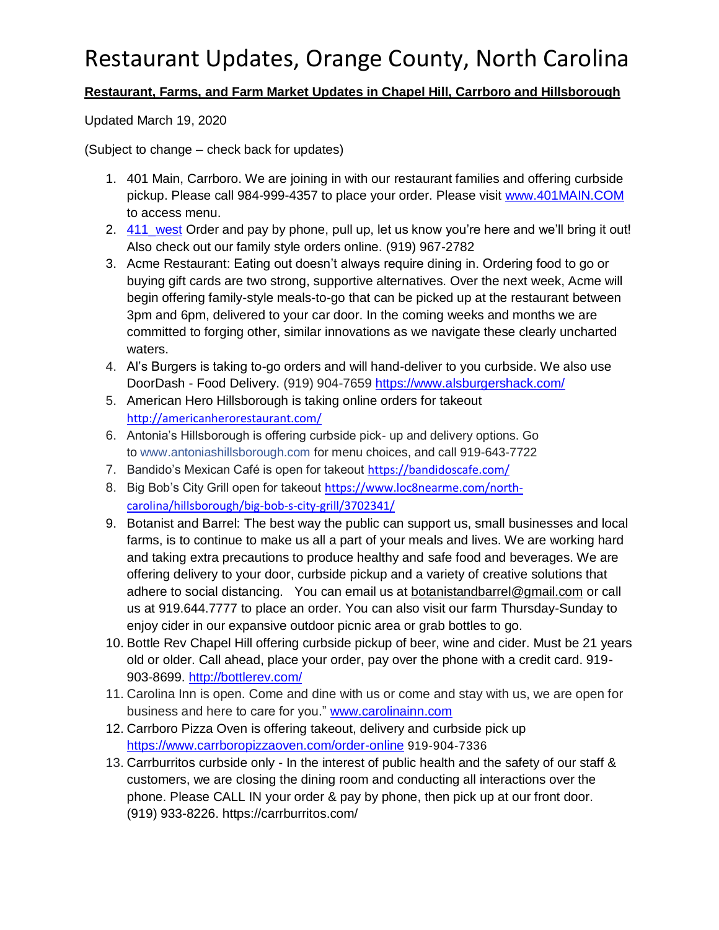#### **Restaurant, Farms, and Farm Market Updates in Chapel Hill, Carrboro and Hillsborough**

Updated March 19, 2020

(Subject to change – check back for updates)

- 1. 401 Main, Carrboro. We are joining in with our restaurant families and offering curbside pickup. Please call 984-999-4357 to place your order. Please visit [www.401MAIN.COM](http://www.401main.com/) to access menu.
- 2. 411 west Order and pay by phone, pull up, let us know you're here and we'll bring it out! Also check out our family style orders online. (919) 967-2782
- 3. Acme Restaurant: Eating out doesn't always require dining in. Ordering food to go or buying gift cards are two strong, supportive alternatives. Over the next week, Acme will begin offering family-style meals-to-go that can be picked up at the restaurant between 3pm and 6pm, delivered to your car door. In the coming weeks and months we are committed to forging other, similar innovations as we navigate these clearly uncharted waters.
- 4. Al's Burgers is taking to-go orders and will hand-deliver to you curbside. We also use DoorDash - Food Delivery. (919) 904-7659<https://www.alsburgershack.com/>
- 5. American Hero Hillsborough is taking online orders for takeout <http://americanherorestaurant.com/>
- 6. Antonia's Hillsborough is offering curbside pick- up and delivery options. Go to [www.antoniashillsborough.com](http://www.antoniashillsborough.com/?fbclid=IwAR14UPnM5nrcZPJSERL-sm7z1RMxWCLKTatYoQ_CjsQi1_dhQ94wyuJVbdw) for menu choices, and call 919-643-7722
- 7. Bandido's Mexican Café is open for takeout <https://bandidoscafe.com/>
- 8. Big Bob's City Grill open for takeout [https://www.loc8nearme.com/north](https://www.loc8nearme.com/north-carolina/hillsborough/big-bob-s-city-grill/3702341/)[carolina/hillsborough/big-bob-s-city-grill/3702341/](https://www.loc8nearme.com/north-carolina/hillsborough/big-bob-s-city-grill/3702341/)
- 9. Botanist and Barrel: The best way the public can support us, small businesses and local farms, is to continue to make us all a part of your meals and lives. We are working hard and taking extra precautions to produce healthy and safe food and beverages. We are offering delivery to your door, curbside pickup and a variety of creative solutions that adhere to social distancing. You can email us at [botanistandbarrel@gmail.com](mailto:botanistandbarrel@gmail.com) or call us at 919.644.7777 to place an order. You can also visit our farm Thursday-Sunday to enjoy cider in our expansive outdoor picnic area or grab bottles to go.
- 10. Bottle Rev Chapel Hill offering curbside pickup of beer, wine and cider. Must be 21 years old or older. Call ahead, place your order, pay over the phone with a credit card. 919- 903-8699. <http://bottlerev.com/>
- 11. Carolina Inn is open. Come and dine with us or come and stay with us, we are open for business and here to care for you." [www.carolinainn.com](http://www.carolinainn.com/)
- 12. Carrboro Pizza Oven is offering takeout, delivery and curbside pick up <https://www.carrboropizzaoven.com/order-online> 919-904-7336
- 13. Carrburritos curbside only In the interest of public health and the safety of our staff & customers, we are closing the dining room and conducting all interactions over the phone. Please CALL IN your order & pay by phone, then pick up at our front door. (919) 933-8226. https://carrburritos.com/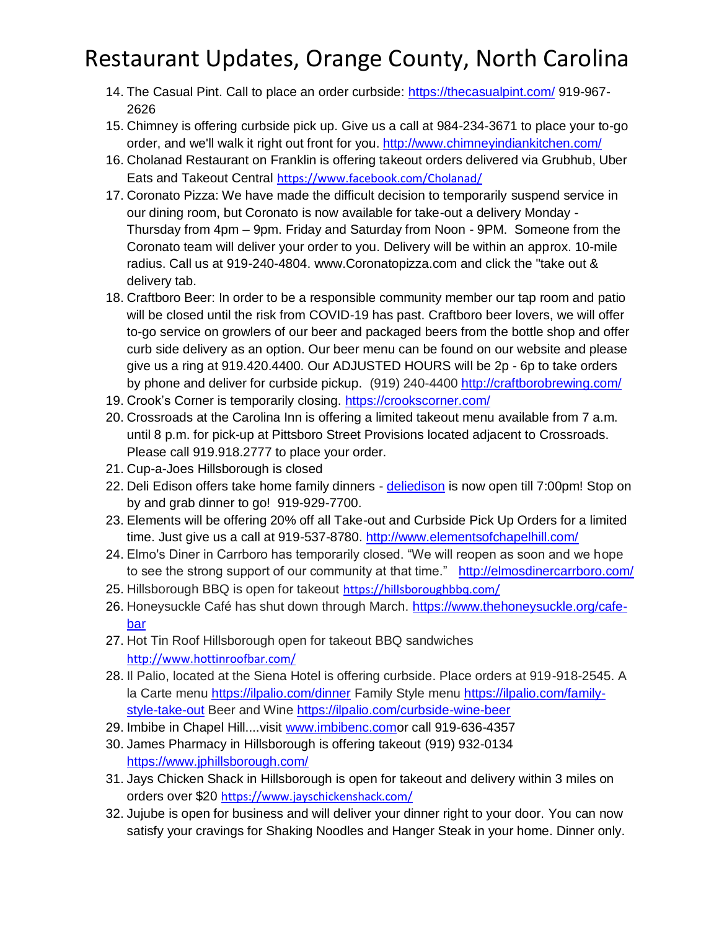- 14. The Casual Pint. Call to place an order curbside:<https://thecasualpint.com/> 919-967- 2626
- 15. Chimney is offering curbside pick up. Give us a call at 984-234-3671 to place your to-go order, and we'll walk it right out front for you. <http://www.chimneyindiankitchen.com/>
- 16. Cholanad Restaurant on Franklin is offering takeout orders delivered via Grubhub, Uber Eats and Takeout Central <https://www.facebook.com/Cholanad/>
- 17. Coronato Pizza: We have made the difficult decision to temporarily suspend service in our dining room, but Coronato is now available for take-out a delivery Monday - Thursday from 4pm – 9pm. Friday and Saturday from Noon - 9PM. Someone from the Coronato team will deliver your order to you. Delivery will be within an approx. 10-mile radius. Call us at 919-240-4804. www.Coronatopizza.com and click the "take out & delivery tab.
- 18. Craftboro Beer: In order to be a responsible community member our tap room and patio will be closed until the risk from COVID-19 has past. Craftboro beer lovers, we will offer to-go service on growlers of our beer and packaged beers from the bottle shop and offer curb side delivery as an option. Our beer menu can be found on our website and please give us a ring at 919.420.4400. Our ADJUSTED HOURS will be 2p - 6p to take orders by phone and deliver for curbside pickup. (919) 240-4400<http://craftborobrewing.com/>
- 19. Crook's Corner is temporarily closing. <https://crookscorner.com/>
- 20. Crossroads at the Carolina Inn is offering a limited takeout menu available from 7 a.m. until 8 p.m. for pick-up at Pittsboro Street Provisions located adjacent to Crossroads. Please call 919.918.2777 to place your order.
- 21. Cup-a-Joes Hillsborough is closed
- 22. Deli Edison offers take home family dinners [deliedison](https://www.instagram.com/deliedison/) is now open till 7:00pm! Stop on by and grab dinner to go! 919-929-7700.
- 23. Elements will be offering 20% off all Take-out and Curbside Pick Up Orders for a limited time. Just give us a call at 919-537-8780.<http://www.elementsofchapelhill.com/>
- 24. Elmo's Diner in Carrboro has temporarily closed. "We will reopen as soon and we hope to see the strong support of our community at that time." <http://elmosdinercarrboro.com/>
- 25. Hillsborough BBQ is open for takeout <https://hillsboroughbbq.com/>
- 26. Honeysuckle Café has shut down through March. [https://www.thehoneysuckle.org/cafe](https://www.thehoneysuckle.org/cafe-bar)[bar](https://www.thehoneysuckle.org/cafe-bar)
- 27. Hot Tin Roof Hillsborough open for takeout BBQ sandwiches <http://www.hottinroofbar.com/>
- 28. Il Palio, located at the Siena Hotel is offering curbside. Place orders at 919-918-2545. A la Carte menu<https://ilpalio.com/dinner> Family Style menu [https://ilpalio.com/family](https://ilpalio.com/family-style-take-out)[style-take-out](https://ilpalio.com/family-style-take-out) Beer and Wine<https://ilpalio.com/curbside-wine-beer>
- 29. Imbibe in Chapel Hill....visit [www.imbibenc.como](https://l.facebook.com/l.php?u=http%3A%2F%2Fwww.imbibenc.com%2F%3Ffbclid%3DIwAR3utDv09eiJbqXeMp2X90uaURLyD8xds7gItva69QIo0bVQ6jTns4eWBPk&h=AT1T0konRL0qjz5In-I4YgBo5XmJqPYEBsXUOVhsLzZzKDW9SJ3mT73zaxWyzS8XC9V-00Z9zCXHXCelF-tzFNMF98_SGI04527Xb6_6315RuECw6BxLGc2W3_t9h6ut0k8r)r call 919-636-4357
- 30. James Pharmacy in Hillsborough is offering takeout (919) 932-0134 <https://www.jphillsborough.com/>
- 31. Jays Chicken Shack in Hillsborough is open for takeout and delivery within 3 miles on orders over \$20 <https://www.jayschickenshack.com/>
- 32. Jujube is open for business and will deliver your dinner right to your door. You can now satisfy your cravings for Shaking Noodles and Hanger Steak in your home. Dinner only.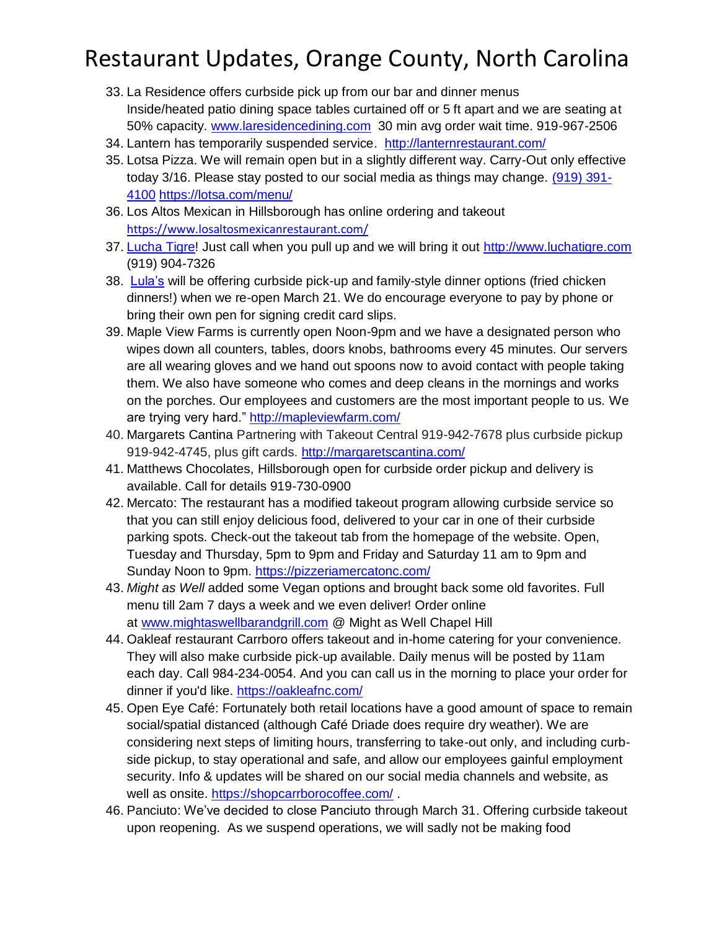- 33. La Residence offers curbside pick up from our bar and dinner menus Inside/heated patio dining space tables curtained off or 5 ft apart and we are seating at 50% capacity. [www.laresidencedining.com](http://www.laresidencedining.com/?fbclid=IwAR0HDu4277nok96mHgTaVhRKnhF0FEX74zkk2qeJIQWg405FWgVmn-vPfUk) 30 min avg order wait time. 919-967-2506
- 34. Lantern has temporarily suspended service. <http://lanternrestaurant.com/>
- 35. Lotsa Pizza. We will remain open but in a slightly different way. Carry-Out only effective today 3/16. Please stay posted to our social media as things may change. [\(919\) 391-](tel:19193914100) [4100](tel:19193914100) <https://lotsa.com/menu/>
- 36. Los Altos Mexican in Hillsborough has online ordering and takeout <https://www.losaltosmexicanrestaurant.com/>
- 37. [Lucha Tigre!](https://www.facebook.com/LuchaTigre/?hc_location=ufi) Just call when you pull up and we will bring it out [http://www.luchatigre.com](https://l.facebook.com/l.php?u=http%3A%2F%2Fwww.luchatigre.com%2F%3Ffbclid%3DIwAR1ri0WZ_F2p9OJrnrKzXzvL06AqfP9d4Vp7sARYF-dWfMElC4GRuHxyzF8&h=AT3fZzTkv2T0NNq7RAEeg4lTAxODUNrxYSHCbhmcDCwIJJuISCInL3vxozWrAzq7LtinAhD9GE0T-3hyfjSxgAsGYT5xJfth8xVd7xRJtv88RiZND00Rkl-Pi1lmksSRdt_R) (919) 904-7326
- 38. [Lula's](https://www.facebook.com/lulaschnc/?hc_location=ufi) will be offering curbside pick-up and family-style dinner options (fried chicken dinners!) when we re-open March 21. We do encourage everyone to pay by phone or bring their own pen for signing credit card slips.
- 39. Maple View Farms is currently open Noon-9pm and we have a designated person who wipes down all counters, tables, doors knobs, bathrooms every 45 minutes. Our servers are all wearing gloves and we hand out spoons now to avoid contact with people taking them. We also have someone who comes and deep cleans in the mornings and works on the porches. Our employees and customers are the most important people to us. We are trying very hard."<http://mapleviewfarm.com/>
- 40. Margarets Cantina Partnering with Takeout Central 919-942-7678 plus curbside pickup 919-942-4745, plus gift cards.<http://margaretscantina.com/>
- 41. Matthews Chocolates, Hillsborough open for curbside order pickup and delivery is available. Call for details 919-730-0900
- 42. Mercato: The restaurant has a modified takeout program allowing curbside service so that you can still enjoy delicious food, delivered to your car in one of their curbside parking spots. Check-out the takeout tab from the homepage of the website. Open, Tuesday and Thursday, 5pm to 9pm and Friday and Saturday 11 am to 9pm and Sunday Noon to 9pm.<https://pizzeriamercatonc.com/>
- 43. *Might as Well* added some Vegan options and brought back some old favorites. Full menu till 2am 7 days a week and we even deliver! Order online at [www.mightaswellbarandgrill.com](http://www.mightaswellbarandgrill.com/?fbclid=IwAR2OIDn1xAQt7bCobFu1l4T56kxutVEH_Fv8GlQ1nxcjx6YYgYcC21SFWdw) @ Might as Well Chapel Hill
- 44. Oakleaf restaurant Carrboro offers takeout and in-home catering for your convenience. They will also make curbside pick-up available. Daily menus will be posted by 11am each day. Call 984-234-0054. And you can call us in the morning to place your order for dinner if you'd like.<https://oakleafnc.com/>
- 45. Open Eye Café: Fortunately both retail locations have a good amount of space to remain social/spatial distanced (although Café Driade does require dry weather). We are considering next steps of limiting hours, transferring to take-out only, and including curbside pickup, to stay operational and safe, and allow our employees gainful employment security. Info & updates will be shared on our social media channels and website, as well as onsite. [https://shopcarrborocoffee.com/](https://urldefense.proofpoint.com/v2/url?u=https-3A__shopcarrborocoffee.com_&d=DwMFaQ&c=JRU6Crajf79kKcplUJFHFfpcQ9GkS9xWLut8YRTooJY&r=OMh2XwgJGSgOJ-Qji8Ir9_Qmlj465KA6semq5RyR5W8&m=b0dJ40JwWD3sQYlAc1V87nCD1-V3z1_ITOc3Q9Hy29c&s=w6bQsZTvdICw-OSlaI9ttJmQT8rSGNS8OIxL3b4mpy0&e=) .
- 46. Panciuto: We've decided to close Panciuto through March 31. Offering curbside takeout upon reopening. As we suspend operations, we will sadly not be making food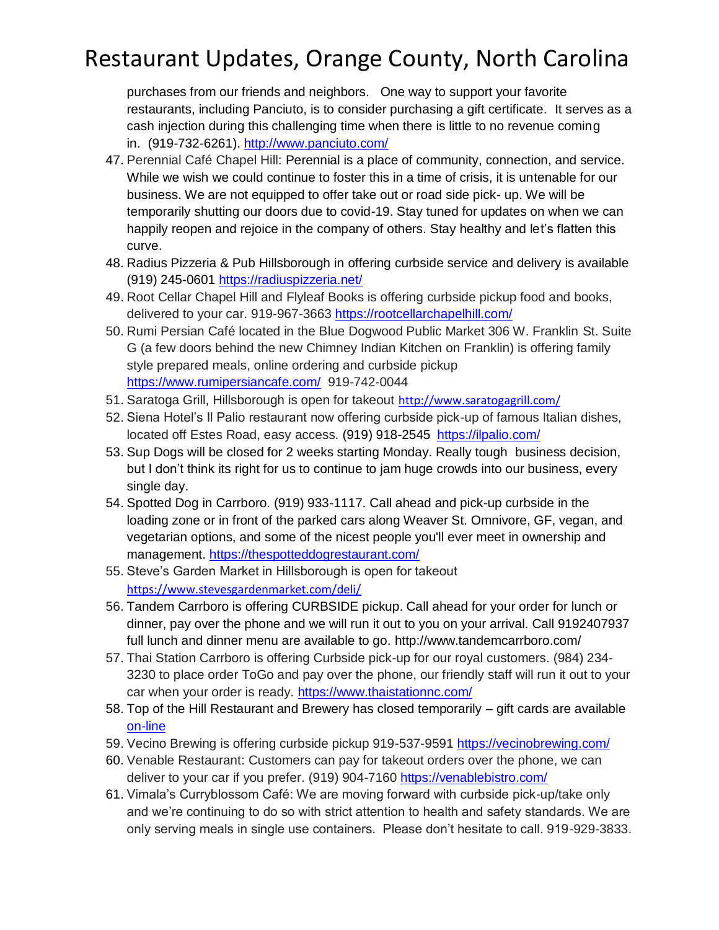purchases from our friends and neighbors. One way to support your favorite restaurants, including Panciuto, is to consider purchasing a gift certificate. It serves as a cash injection during this challenging time when there is little to no revenue coming in. (919-732-6261).<http://www.panciuto.com/>

- 47. Perennial Café Chapel Hill: Perennial is a place of community, connection, and service. While we wish we could continue to foster this in a time of crisis, it is untenable for our business. We are not equipped to offer take out or road side pick- up. We will be temporarily shutting our doors due to covid-19. Stay tuned for updates on when we can happily reopen and rejoice in the company of others. Stay healthy and let's flatten this curve.
- 48. Radius Pizzeria & Pub Hillsborough in offering curbside service and delivery is available (919) 245-0601<https://radiuspizzeria.net/>
- 49. Root Cellar Chapel Hill and Flyleaf Books is offering curbside pickup food and books, delivered to your car. 919-967-3663<https://rootcellarchapelhill.com/>
- 50. Rumi Persian Café located in the Blue Dogwood Public Market 306 W. Franklin St. Suite G (a few doors behind the new Chimney Indian Kitchen on Franklin) is offering family style prepared meals, online ordering and curbside pickup <https://www.rumipersiancafe.com/> 919-742-0044
- 51. Saratoga Grill, Hillsborough is open for takeout <http://www.saratogagrill.com/>
- 52. Siena Hotel's Il Palio restaurant now offering curbside pick-up of famous Italian dishes, located off Estes Road, easy access. (919) 918-2545 <https://ilpalio.com/>
- 53. Sup Dogs will be closed for 2 weeks starting Monday. Really tough business decision, but I don't think its right for us to continue to jam huge crowds into our business, every single day.
- 54. Spotted Dog in Carrboro. (919) 933-1117. Call ahead and pick-up curbside in the loading zone or in front of the parked cars along Weaver St. Omnivore, GF, vegan, and vegetarian options, and some of the nicest people you'll ever meet in ownership and management.<https://thespotteddogrestaurant.com/>
- 55. Steve's Garden Market in Hillsborough is open for takeout <https://www.stevesgardenmarket.com/deli/>
- 56. Tandem Carrboro is offering CURBSIDE pickup. Call ahead for your order for lunch or dinner, pay over the phone and we will run it out to you on your arrival. Call 9192407937 full lunch and dinner menu are available to go. http://www.tandemcarrboro.com/
- 57. Thai Station Carrboro is offering Curbside pick-up for our royal customers. (984) 234- 3230 to place order ToGo and pay over the phone, our friendly staff will run it out to your car when your order is ready.<https://www.thaistationnc.com/>
- 58. Top of the Hill Restaurant and Brewery has closed temporarily gift cards are available [on-line](https://www.thetopofthehill.com/shop/gift-certificate)
- 59. Vecino Brewing is offering curbside pickup 919-537-9591<https://vecinobrewing.com/>
- 60. Venable Restaurant: Customers can pay for takeout orders over the phone, we can deliver to your car if you prefer. (919) 904-7160<https://venablebistro.com/>
- 61. Vimala's Curryblossom Café: We are moving forward with curbside pick-up/take only and we're continuing to do so with strict attention to health and safety standards. We are only serving meals in single use containers. Please don't hesitate to call. 919-929-3833.